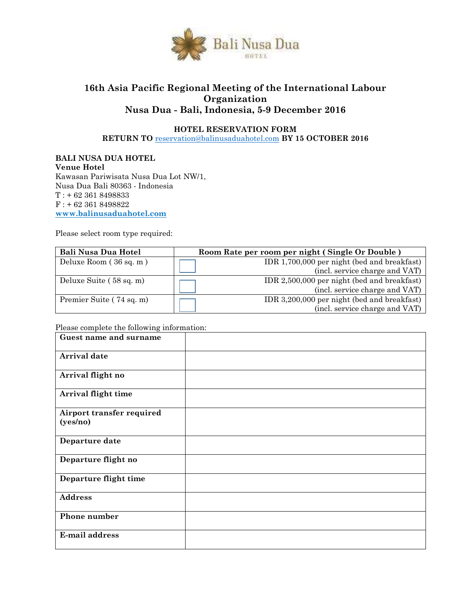

# **16th Asia Pacific Regional Meeting of the International Labour Organization Nusa Dua - Bali, Indonesia, 5-9 December 2016**

## **HOTEL RESERVATION FORM**

**RETURN TO** [reservation@balinusaduahotel.com](mailto:reservation@balinusaduahotel.com) **BY 15 OCTOBER 2016**

### **BALI NUSA DUA HOTEL Venue Hotel**  Kawasan Pariwisata Nusa Dua Lot NW/1, Nusa Dua Bali 80363 - Indonesia  $T : + 623618498833$ F : + 62 361 8498822 **[www.balinusaduahotel.com](file:///C:/Users/pralong/AppData/Local/Microsoft/Windows/Temporary%20Internet%20Files/Content.Outlook/GHMOIX51/www.balinusaduahotel.com)**

Please select room type required:

| <b>Bali Nusa Dua Hotel</b> | Room Rate per room per night (Single Or Double) |  |  |  |
|----------------------------|-------------------------------------------------|--|--|--|
| Deluxe Room (36 sq. m)     | IDR 1,700,000 per night (bed and breakfast)     |  |  |  |
|                            | (incl. service charge and VAT)                  |  |  |  |
| Deluxe Suite (58 sq. m)    | IDR 2,500,000 per night (bed and breakfast)     |  |  |  |
|                            | (incl. service charge and VAT)                  |  |  |  |
| Premier Suite (74 sq. m)   | IDR 3,200,000 per night (bed and breakfast)     |  |  |  |
|                            | (incl. service charge and VAT)                  |  |  |  |

Please complete the following information:

| Guest name and surname                |  |
|---------------------------------------|--|
| Arrival date                          |  |
| Arrival flight no                     |  |
| Arrival flight time                   |  |
| Airport transfer required<br>(yes/no) |  |
| Departure date                        |  |
| Departure flight no                   |  |
| Departure flight time                 |  |
| <b>Address</b>                        |  |
| Phone number                          |  |
| E-mail address                        |  |